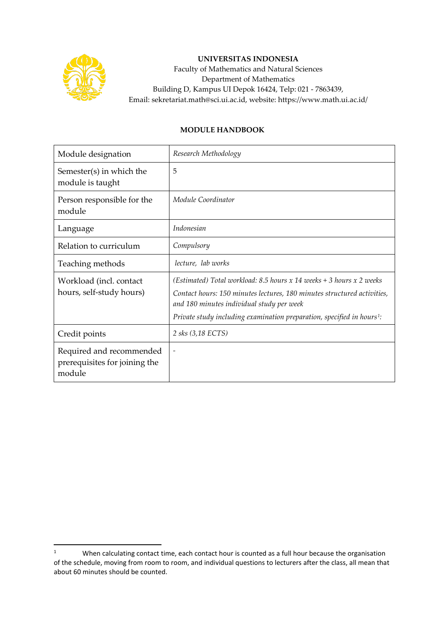

## **UNIVERSITAS INDONESIA**

Faculty of Mathematics and Natural Sciences Department of Mathematics Building D, Kampus UI Depok 16424, Telp: 021 - 7863439, Email: sekretariat.math@sci.ui.ac.id, website: https://www.math.ui.ac.id/

## **MODULE HANDBOOK**

| Module designation                                                  | Research Methodology                                                                                                                                                                                                                                                               |
|---------------------------------------------------------------------|------------------------------------------------------------------------------------------------------------------------------------------------------------------------------------------------------------------------------------------------------------------------------------|
| Semester(s) in which the<br>module is taught                        | 5                                                                                                                                                                                                                                                                                  |
| Person responsible for the<br>module                                | Module Coordinator                                                                                                                                                                                                                                                                 |
| Language                                                            | <i>Indonesian</i>                                                                                                                                                                                                                                                                  |
| Relation to curriculum                                              | Compulsory                                                                                                                                                                                                                                                                         |
| Teaching methods                                                    | lecture, lab works                                                                                                                                                                                                                                                                 |
| Workload (incl. contact<br>hours, self-study hours)                 | (Estimated) Total workload: 8.5 hours x 14 weeks + 3 hours x 2 weeks<br>Contact hours: 150 minutes lectures, 180 minutes structured activities,<br>and 180 minutes individual study per week<br>Private study including examination preparation, specified in hours <sup>1</sup> : |
| Credit points                                                       | 2 sks (3,18 ECTS)                                                                                                                                                                                                                                                                  |
| Required and recommended<br>prerequisites for joining the<br>module |                                                                                                                                                                                                                                                                                    |

<span id="page-0-0"></span><sup>1</sup> When calculating contact time, each contact hour is counted as a full hour because the organisation of the schedule, moving from room to room, and individual questions to lecturers after the class, all mean that about 60 minutes should be counted.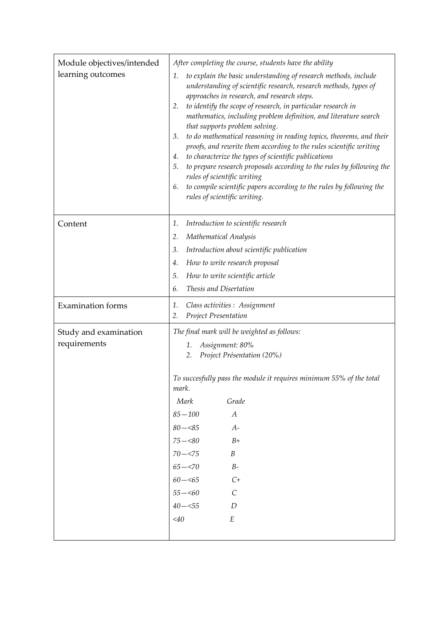| Module objectives/intended | After completing the course, students have the ability                                                                                                                                                                                                                                                                                                                                                                                                                                                                                                                                                                                                                                                                                                                                                            |
|----------------------------|-------------------------------------------------------------------------------------------------------------------------------------------------------------------------------------------------------------------------------------------------------------------------------------------------------------------------------------------------------------------------------------------------------------------------------------------------------------------------------------------------------------------------------------------------------------------------------------------------------------------------------------------------------------------------------------------------------------------------------------------------------------------------------------------------------------------|
| learning outcomes          | to explain the basic understanding of research methods, include<br>1.<br>understanding of scientific research, research methods, types of<br>approaches in research, and research steps.<br>to identify the scope of research, in particular research in<br>2.<br>mathematics, including problem definition, and literature search<br>that supports problem solving.<br>to do mathematical reasoning in reading topics, theorems, and their<br>3.<br>proofs, and rewrite them according to the rules scientific writing<br>to characterize the types of scientific publications<br>4.<br>to prepare research proposals according to the rules by following the<br>5.<br>rules of scientific writing<br>to compile scientific papers according to the rules by following the<br>6.<br>rules of scientific writing. |
| Content                    | Introduction to scientific research<br>1.                                                                                                                                                                                                                                                                                                                                                                                                                                                                                                                                                                                                                                                                                                                                                                         |
|                            | Mathematical Analysis<br>2.                                                                                                                                                                                                                                                                                                                                                                                                                                                                                                                                                                                                                                                                                                                                                                                       |
|                            | Introduction about scientific publication<br>3.                                                                                                                                                                                                                                                                                                                                                                                                                                                                                                                                                                                                                                                                                                                                                                   |
|                            | How to write research proposal<br>4.                                                                                                                                                                                                                                                                                                                                                                                                                                                                                                                                                                                                                                                                                                                                                                              |
|                            | How to write scientific article<br>5.                                                                                                                                                                                                                                                                                                                                                                                                                                                                                                                                                                                                                                                                                                                                                                             |
|                            | Thesis and Disertation<br>6.                                                                                                                                                                                                                                                                                                                                                                                                                                                                                                                                                                                                                                                                                                                                                                                      |
| <b>Examination</b> forms   | Class activities : Assignment<br>1.<br>Project Presentation<br>2.                                                                                                                                                                                                                                                                                                                                                                                                                                                                                                                                                                                                                                                                                                                                                 |
| Study and examination      | The final mark will be weighted as follows:                                                                                                                                                                                                                                                                                                                                                                                                                                                                                                                                                                                                                                                                                                                                                                       |
| requirements               | Assignment: 80%<br>1.                                                                                                                                                                                                                                                                                                                                                                                                                                                                                                                                                                                                                                                                                                                                                                                             |
|                            | Project Présentation (20%)<br>2.                                                                                                                                                                                                                                                                                                                                                                                                                                                                                                                                                                                                                                                                                                                                                                                  |
|                            | To succesfully pass the module it requires minimum 55% of the total<br>mark.                                                                                                                                                                                                                                                                                                                                                                                                                                                                                                                                                                                                                                                                                                                                      |
|                            | Mark<br>Grade                                                                                                                                                                                                                                                                                                                                                                                                                                                                                                                                                                                                                                                                                                                                                                                                     |
|                            | $85 - 100$<br>$\boldsymbol{A}$                                                                                                                                                                                                                                                                                                                                                                                                                                                                                                                                                                                                                                                                                                                                                                                    |
|                            | $80 - 85$<br>$A-$                                                                                                                                                                                                                                                                                                                                                                                                                                                                                                                                                                                                                                                                                                                                                                                                 |
|                            | $75 - 80$<br>$B+$                                                                                                                                                                                                                                                                                                                                                                                                                                                                                                                                                                                                                                                                                                                                                                                                 |
|                            | $70 - 575$<br>B                                                                                                                                                                                                                                                                                                                                                                                                                                                                                                                                                                                                                                                                                                                                                                                                   |
|                            | $65 - 570$<br>$B-$                                                                                                                                                                                                                                                                                                                                                                                                                                                                                                                                                                                                                                                                                                                                                                                                |
|                            | $60 - 5$<br>$C+$                                                                                                                                                                                                                                                                                                                                                                                                                                                                                                                                                                                                                                                                                                                                                                                                  |
|                            | $\mathcal{C}$<br>$55 - 60$                                                                                                                                                                                                                                                                                                                                                                                                                                                                                                                                                                                                                                                                                                                                                                                        |
|                            | $40 - 55$<br>D                                                                                                                                                                                                                                                                                                                                                                                                                                                                                                                                                                                                                                                                                                                                                                                                    |
|                            | $<$ 40<br>$\cal E$                                                                                                                                                                                                                                                                                                                                                                                                                                                                                                                                                                                                                                                                                                                                                                                                |
|                            |                                                                                                                                                                                                                                                                                                                                                                                                                                                                                                                                                                                                                                                                                                                                                                                                                   |